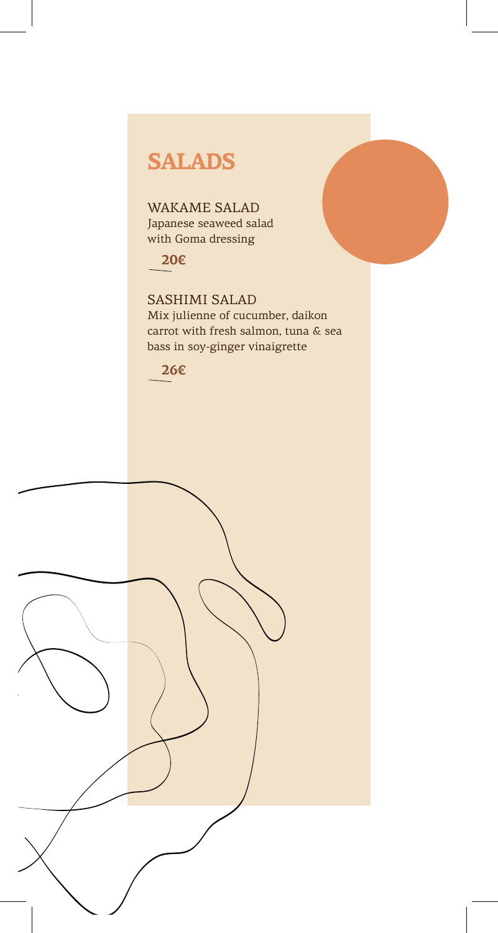### **SALADS**

WAKAME SALAD Japanese seaweed salad with Goma dressing

#### **20€**

SASHIMI SALAD Mix julienne of cucumber, daikon carrot with fresh salmon, tuna & sea bass in soy-ginger vinaigrette



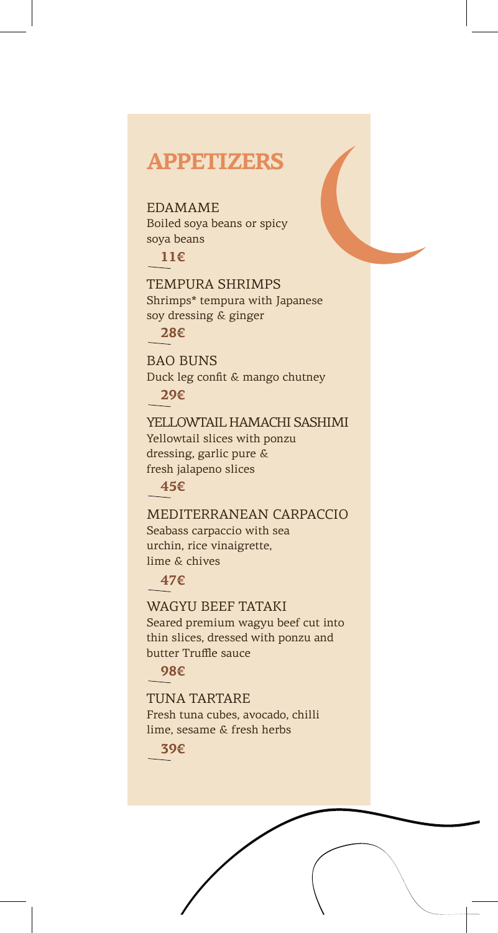#### **APPETIZERS**

EDAMAME Boiled soya beans or spicy soya beans

**11€**

TEMPURA SHRIMPS Shrimps\* tempura with Japanese soy dressing & ginger

**28€**

BAO ΒUNS Duck leg confit & mango chutney **29€**

YELLOWTAIL HAMACHI SASHIMI Yellowtail slices with ponzu dressing, garlic pure & fresh jalapeno slices

**45€**

MEDITERRANEAN CARPACCIO Seabass carpaccio with sea urchin, rice vinaigrette, lime & chives

**47€**

WAGYU BEEF TATAKI Seared premium wagyu beef cut into thin slices, dressed with ponzu and butter Τruffle sauce

**98€**

TUNA TARTARE

Fresh tuna cubes, avocado, chilli lime, sesame & fresh herbs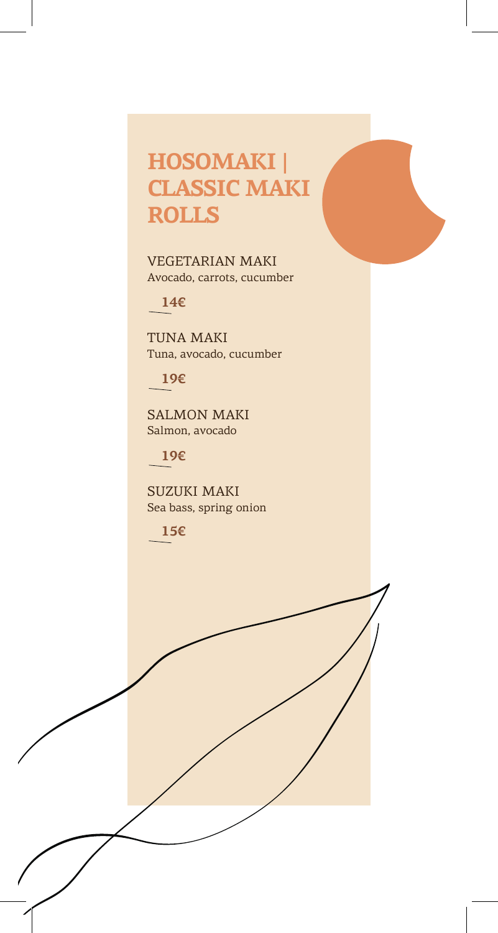## **HOSOMAKI | CLASSIC MAKI ROLLS**

VEGETARIAN MAKI Avocado, carrots, cucumber

**14€**

TUNA MAKI Tuna, avocado, cucumber

**19€**

SALMON MAKI Salmon, avocado

**19€**

SUZUKI MAKI Sea bass, spring onion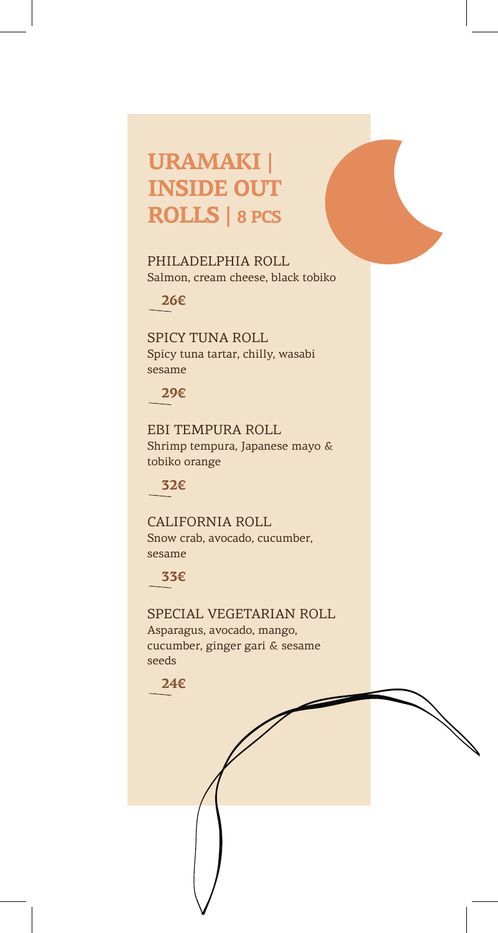## **URAMAKI | INSIDE OUT ROLLS | 8 PCS**

PHILADELPHIA ROLL Salmon, cream cheese, black tobiko

**26€**

SPICY TUNA ROLL Spicy tuna tartar, chilly, wasabi sesame

**29€**

EBI TEMPURA ROLL Shrimp tempura, Japanese mayo & tobiko orange

**32€**

CALIFORNIA ROLL Snow crab, avocado, cucumber, sesame

**33€**

SPECIAL VEGETARIAN ROLL Asparagus, avocado, mango, cucumber, ginger gari & sesame seeds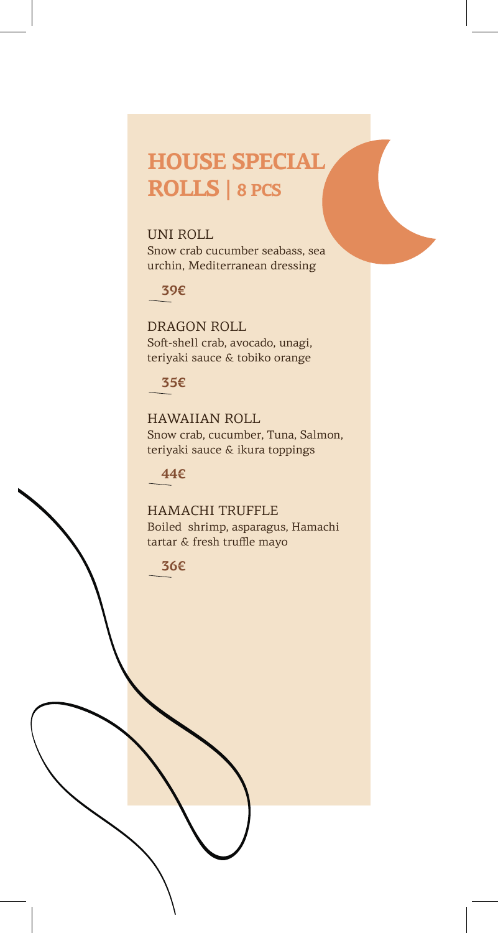## **HOUSE SPECIAL ROLLS | 8 PCS**

UNI ROLL Snow crab cucumber seabass, sea urchin, Mediterranean dressing

**39€**

DRAGON ROLL Soft-shell crab, avocado, unagi, teriyaki sauce & tobiko orange

#### **35€**

HAWAIIAN ROLL Snow crab, cucumber, Tuna, Salmon, teriyaki sauce & ikura toppings

**44€**

HAMACHI TRUFFLE Boiled shrimp, asparagus, Hamachi tartar & fresh truffle mayo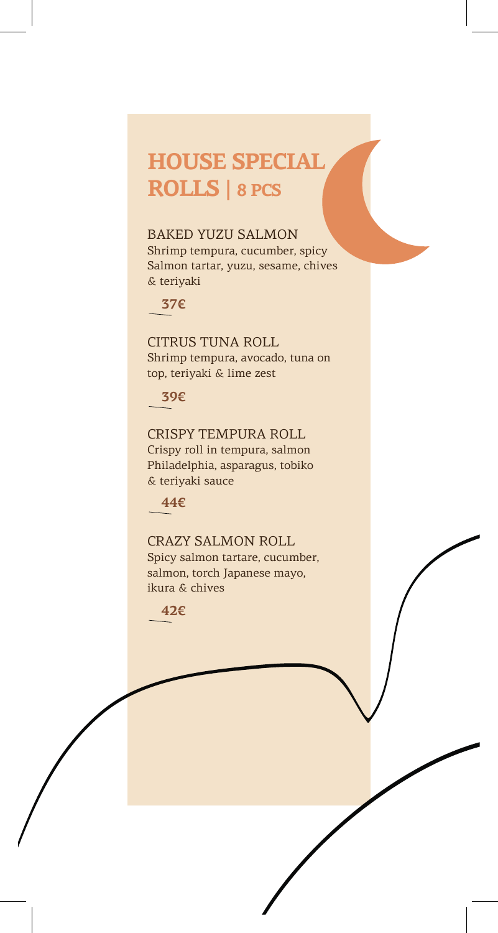# **HOUSE SPECIAL ROLLS | 8 PCS**

#### BAKED YUZU SALMON

Shrimp tempura, cucumber, spicy Salmon tartar, yuzu, sesame, chives & teriyaki

**37€**

CITRUS TUNA ROLL Shrimp tempura, avocado, tuna on top, teriyaki & lime zest

**39€**

CRISPY TEMPURA ROLL Crispy roll in tempura, salmon Philadelphia, asparagus, tobiko & teriyaki sauce

**44€**

CRAZY SALMON ROLL Spicy salmon tartare, cucumber, salmon, torch Japanese mayo, ikura & chives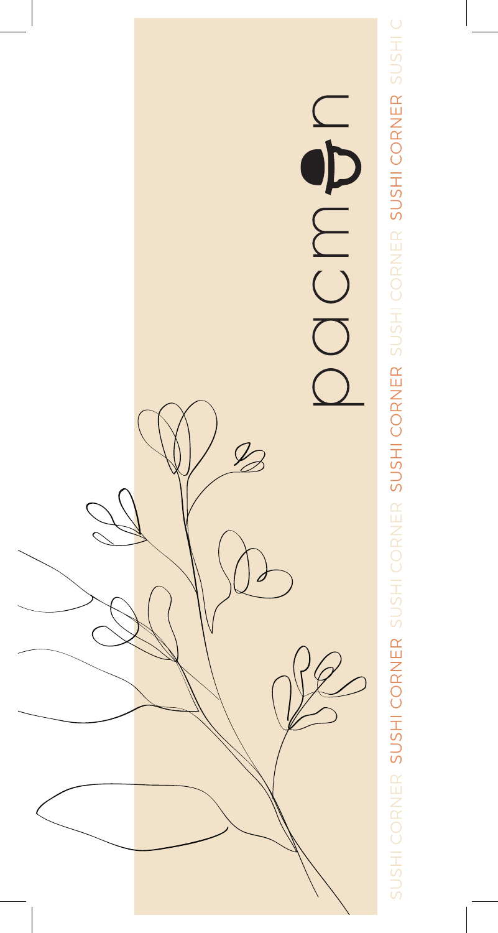

SUSHI CORNER SUSHI CORNER SUSHI CORNER SUSHI CORNER SUSHI CORNER SUSHI CORNER SUSHI C